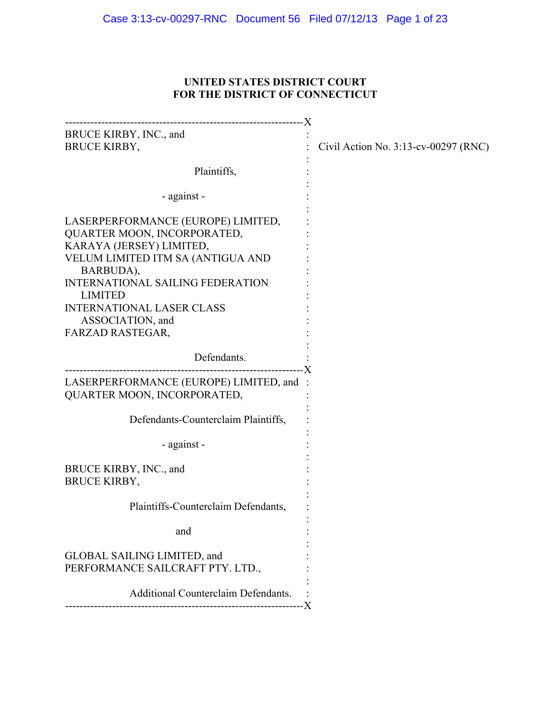# **UNITED STATES DISTRICT COURT FOR THE DISTRICT OF CONNECTICUT**

| BRUCE KIRBY, INC., and<br><b>BRUCE KIRBY,</b>                                                                                                                                                                                                                                            | Civil Action No. $3:13$ -cv-00297 (RNC) |
|------------------------------------------------------------------------------------------------------------------------------------------------------------------------------------------------------------------------------------------------------------------------------------------|-----------------------------------------|
| Plaintiffs,                                                                                                                                                                                                                                                                              |                                         |
| - against -                                                                                                                                                                                                                                                                              |                                         |
| LASERPERFORMANCE (EUROPE) LIMITED,<br>QUARTER MOON, INCORPORATED,<br>KARAYA (JERSEY) LIMITED,<br>VELUM LIMITED ITM SA (ANTIGUA AND<br>BARBUDA),<br><b>INTERNATIONAL SAILING FEDERATION</b><br><b>LIMITED</b><br><b>INTERNATIONAL LASER CLASS</b><br>ASSOCIATION, and<br>FARZAD RASTEGAR, |                                         |
| Defendants.                                                                                                                                                                                                                                                                              |                                         |
| LASERPERFORMANCE (EUROPE) LIMITED, and :<br>QUARTER MOON, INCORPORATED,                                                                                                                                                                                                                  |                                         |
| Defendants-Counterclaim Plaintiffs,                                                                                                                                                                                                                                                      |                                         |
| - against -                                                                                                                                                                                                                                                                              |                                         |
| BRUCE KIRBY, INC., and<br><b>BRUCE KIRBY,</b>                                                                                                                                                                                                                                            |                                         |
| Plaintiffs-Counterclaim Defendants,                                                                                                                                                                                                                                                      |                                         |
| and                                                                                                                                                                                                                                                                                      |                                         |
| GLOBAL SAILING LIMITED, and<br>PERFORMANCE SAILCRAFT PTY. LTD.,                                                                                                                                                                                                                          |                                         |
| <b>Additional Counterclaim Defendants.</b>                                                                                                                                                                                                                                               |                                         |
|                                                                                                                                                                                                                                                                                          |                                         |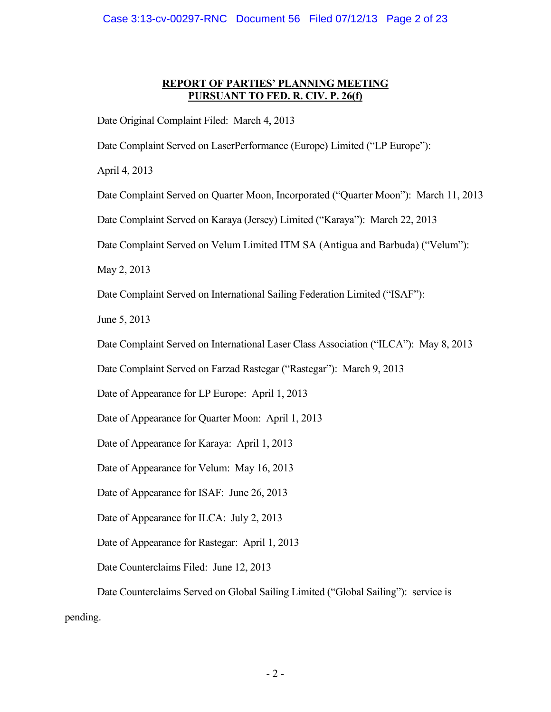# **REPORT OF PARTIES' PLANNING MEETING PURSUANT TO FED. R. CIV. P. 26(f)**

Date Original Complaint Filed: March 4, 2013

Date Complaint Served on LaserPerformance (Europe) Limited ("LP Europe"):

April 4, 2013

Date Complaint Served on Quarter Moon, Incorporated ("Quarter Moon"): March 11, 2013

Date Complaint Served on Karaya (Jersey) Limited ("Karaya"): March 22, 2013

Date Complaint Served on Velum Limited ITM SA (Antigua and Barbuda) ("Velum"):

May 2, 2013

Date Complaint Served on International Sailing Federation Limited ("ISAF"):

June 5, 2013

Date Complaint Served on International Laser Class Association ("ILCA"): May 8, 2013

Date Complaint Served on Farzad Rastegar ("Rastegar"): March 9, 2013

Date of Appearance for LP Europe: April 1, 2013

Date of Appearance for Quarter Moon: April 1, 2013

Date of Appearance for Karaya: April 1, 2013

Date of Appearance for Velum: May 16, 2013

Date of Appearance for ISAF: June 26, 2013

Date of Appearance for ILCA: July 2, 2013

Date of Appearance for Rastegar: April 1, 2013

Date Counterclaims Filed: June 12, 2013

Date Counterclaims Served on Global Sailing Limited ("Global Sailing"): service is pending.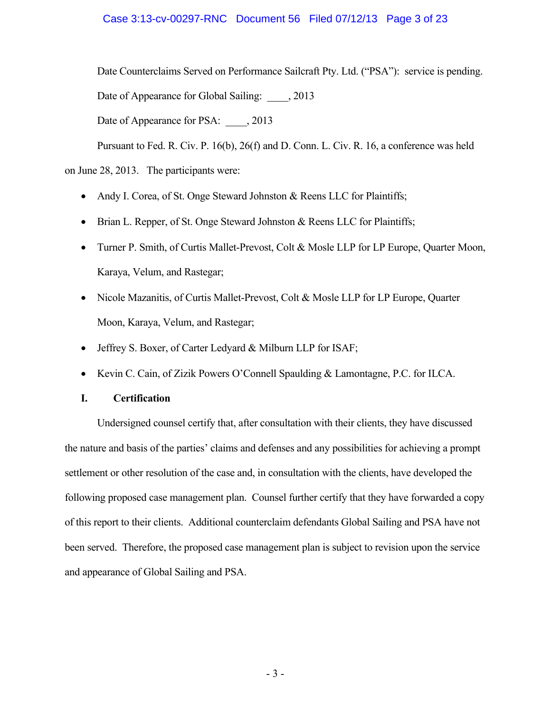## Case 3:13-cv-00297-RNC Document 56 Filed 07/12/13 Page 3 of 23

Date Counterclaims Served on Performance Sailcraft Pty. Ltd. ("PSA"): service is pending.

Date of Appearance for Global Sailing: 2013

Date of Appearance for PSA: 2013

Pursuant to Fed. R. Civ. P. 16(b), 26(f) and D. Conn. L. Civ. R. 16, a conference was held

on June 28, 2013. The participants were:

- Andy I. Corea, of St. Onge Steward Johnston & Reens LLC for Plaintiffs;
- Brian L. Repper, of St. Onge Steward Johnston & Reens LLC for Plaintiffs;
- Turner P. Smith, of Curtis Mallet-Prevost, Colt & Mosle LLP for LP Europe, Quarter Moon, Karaya, Velum, and Rastegar;
- Nicole Mazanitis, of Curtis Mallet-Prevost, Colt & Mosle LLP for LP Europe, Quarter Moon, Karaya, Velum, and Rastegar;
- Jeffrey S. Boxer, of Carter Ledyard & Milburn LLP for ISAF;
- Kevin C. Cain, of Zizik Powers O'Connell Spaulding & Lamontagne, P.C. for ILCA.

# **I. Certification**

Undersigned counsel certify that, after consultation with their clients, they have discussed the nature and basis of the parties' claims and defenses and any possibilities for achieving a prompt settlement or other resolution of the case and, in consultation with the clients, have developed the following proposed case management plan. Counsel further certify that they have forwarded a copy of this report to their clients. Additional counterclaim defendants Global Sailing and PSA have not been served. Therefore, the proposed case management plan is subject to revision upon the service and appearance of Global Sailing and PSA.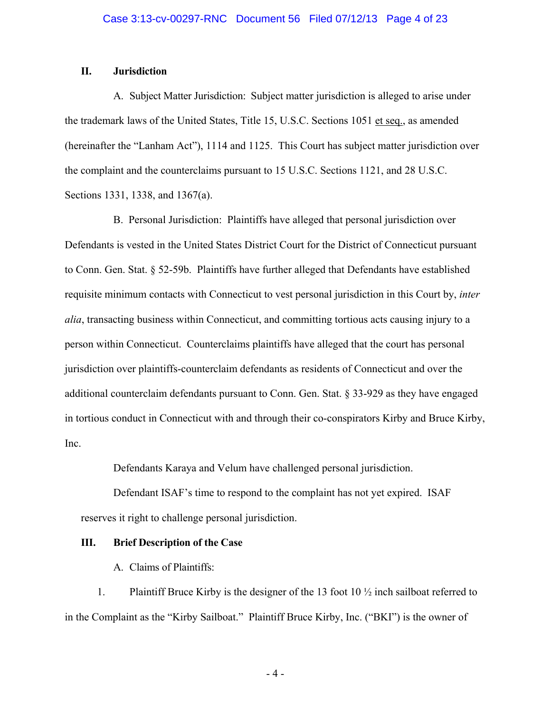## **II. Jurisdiction**

A. Subject Matter Jurisdiction: Subject matter jurisdiction is alleged to arise under the trademark laws of the United States, Title 15, U.S.C. Sections 1051 et seq., as amended (hereinafter the "Lanham Act"), 1114 and 1125. This Court has subject matter jurisdiction over the complaint and the counterclaims pursuant to 15 U.S.C. Sections 1121, and 28 U.S.C. Sections 1331, 1338, and 1367(a).

B. Personal Jurisdiction: Plaintiffs have alleged that personal jurisdiction over Defendants is vested in the United States District Court for the District of Connecticut pursuant to Conn. Gen. Stat. § 52-59b. Plaintiffs have further alleged that Defendants have established requisite minimum contacts with Connecticut to vest personal jurisdiction in this Court by, *inter alia*, transacting business within Connecticut, and committing tortious acts causing injury to a person within Connecticut. Counterclaims plaintiffs have alleged that the court has personal jurisdiction over plaintiffs-counterclaim defendants as residents of Connecticut and over the additional counterclaim defendants pursuant to Conn. Gen. Stat. § 33-929 as they have engaged in tortious conduct in Connecticut with and through their co-conspirators Kirby and Bruce Kirby, Inc.

Defendants Karaya and Velum have challenged personal jurisdiction.

Defendant ISAF's time to respond to the complaint has not yet expired. ISAF reserves it right to challenge personal jurisdiction.

#### **III. Brief Description of the Case**

A. Claims of Plaintiffs:

1. Plaintiff Bruce Kirby is the designer of the 13 foot 10 ½ inch sailboat referred to in the Complaint as the "Kirby Sailboat." Plaintiff Bruce Kirby, Inc. ("BKI") is the owner of

- 4 -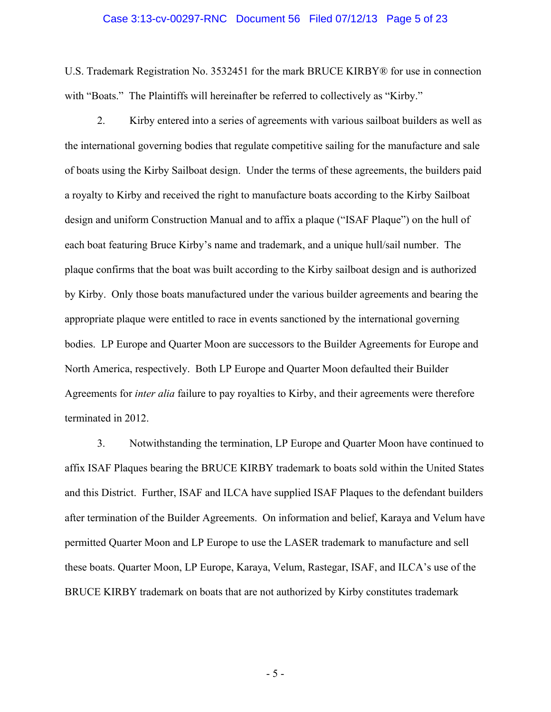#### Case 3:13-cv-00297-RNC Document 56 Filed 07/12/13 Page 5 of 23

U.S. Trademark Registration No. 3532451 for the mark BRUCE KIRBY® for use in connection with "Boats." The Plaintiffs will hereinafter be referred to collectively as "Kirby."

2. Kirby entered into a series of agreements with various sailboat builders as well as the international governing bodies that regulate competitive sailing for the manufacture and sale of boats using the Kirby Sailboat design. Under the terms of these agreements, the builders paid a royalty to Kirby and received the right to manufacture boats according to the Kirby Sailboat design and uniform Construction Manual and to affix a plaque ("ISAF Plaque") on the hull of each boat featuring Bruce Kirby's name and trademark, and a unique hull/sail number. The plaque confirms that the boat was built according to the Kirby sailboat design and is authorized by Kirby. Only those boats manufactured under the various builder agreements and bearing the appropriate plaque were entitled to race in events sanctioned by the international governing bodies. LP Europe and Quarter Moon are successors to the Builder Agreements for Europe and North America, respectively. Both LP Europe and Quarter Moon defaulted their Builder Agreements for *inter alia* failure to pay royalties to Kirby, and their agreements were therefore terminated in 2012.

3. Notwithstanding the termination, LP Europe and Quarter Moon have continued to affix ISAF Plaques bearing the BRUCE KIRBY trademark to boats sold within the United States and this District. Further, ISAF and ILCA have supplied ISAF Plaques to the defendant builders after termination of the Builder Agreements. On information and belief, Karaya and Velum have permitted Quarter Moon and LP Europe to use the LASER trademark to manufacture and sell these boats. Quarter Moon, LP Europe, Karaya, Velum, Rastegar, ISAF, and ILCA's use of the BRUCE KIRBY trademark on boats that are not authorized by Kirby constitutes trademark

- 5 -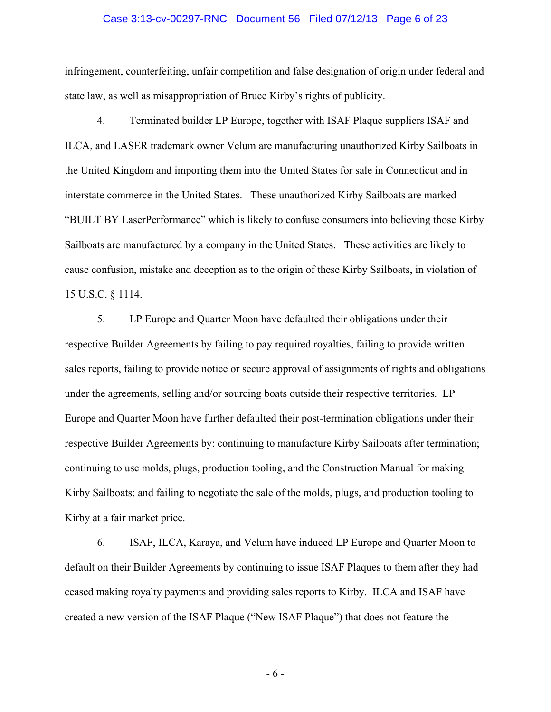#### Case 3:13-cv-00297-RNC Document 56 Filed 07/12/13 Page 6 of 23

infringement, counterfeiting, unfair competition and false designation of origin under federal and state law, as well as misappropriation of Bruce Kirby's rights of publicity.

4. Terminated builder LP Europe, together with ISAF Plaque suppliers ISAF and ILCA, and LASER trademark owner Velum are manufacturing unauthorized Kirby Sailboats in the United Kingdom and importing them into the United States for sale in Connecticut and in interstate commerce in the United States. These unauthorized Kirby Sailboats are marked "BUILT BY LaserPerformance" which is likely to confuse consumers into believing those Kirby Sailboats are manufactured by a company in the United States. These activities are likely to cause confusion, mistake and deception as to the origin of these Kirby Sailboats, in violation of 15 U.S.C. § 1114.

5. LP Europe and Quarter Moon have defaulted their obligations under their respective Builder Agreements by failing to pay required royalties, failing to provide written sales reports, failing to provide notice or secure approval of assignments of rights and obligations under the agreements, selling and/or sourcing boats outside their respective territories. LP Europe and Quarter Moon have further defaulted their post-termination obligations under their respective Builder Agreements by: continuing to manufacture Kirby Sailboats after termination; continuing to use molds, plugs, production tooling, and the Construction Manual for making Kirby Sailboats; and failing to negotiate the sale of the molds, plugs, and production tooling to Kirby at a fair market price.

6. ISAF, ILCA, Karaya, and Velum have induced LP Europe and Quarter Moon to default on their Builder Agreements by continuing to issue ISAF Plaques to them after they had ceased making royalty payments and providing sales reports to Kirby. ILCA and ISAF have created a new version of the ISAF Plaque ("New ISAF Plaque") that does not feature the

- 6 -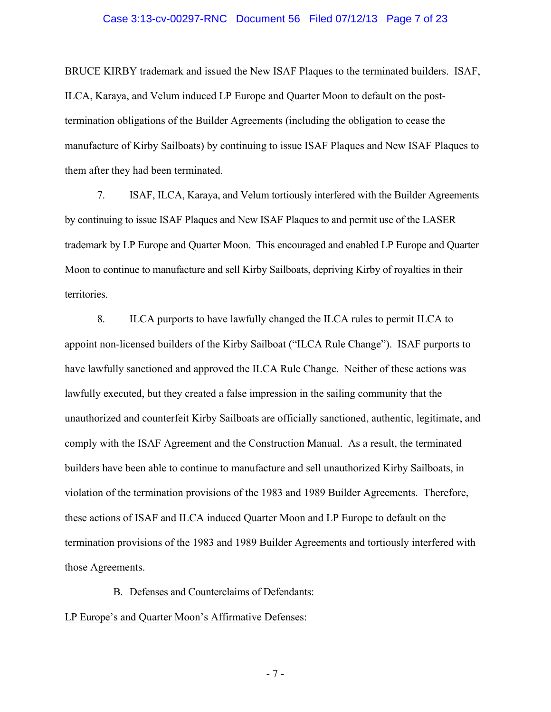#### Case 3:13-cv-00297-RNC Document 56 Filed 07/12/13 Page 7 of 23

BRUCE KIRBY trademark and issued the New ISAF Plaques to the terminated builders. ISAF, ILCA, Karaya, and Velum induced LP Europe and Quarter Moon to default on the posttermination obligations of the Builder Agreements (including the obligation to cease the manufacture of Kirby Sailboats) by continuing to issue ISAF Plaques and New ISAF Plaques to them after they had been terminated.

7. ISAF, ILCA, Karaya, and Velum tortiously interfered with the Builder Agreements by continuing to issue ISAF Plaques and New ISAF Plaques to and permit use of the LASER trademark by LP Europe and Quarter Moon. This encouraged and enabled LP Europe and Quarter Moon to continue to manufacture and sell Kirby Sailboats, depriving Kirby of royalties in their territories.

8. ILCA purports to have lawfully changed the ILCA rules to permit ILCA to appoint non-licensed builders of the Kirby Sailboat ("ILCA Rule Change"). ISAF purports to have lawfully sanctioned and approved the ILCA Rule Change. Neither of these actions was lawfully executed, but they created a false impression in the sailing community that the unauthorized and counterfeit Kirby Sailboats are officially sanctioned, authentic, legitimate, and comply with the ISAF Agreement and the Construction Manual. As a result, the terminated builders have been able to continue to manufacture and sell unauthorized Kirby Sailboats, in violation of the termination provisions of the 1983 and 1989 Builder Agreements. Therefore, these actions of ISAF and ILCA induced Quarter Moon and LP Europe to default on the termination provisions of the 1983 and 1989 Builder Agreements and tortiously interfered with those Agreements.

B. Defenses and Counterclaims of Defendants:

#### LP Europe's and Quarter Moon's Affirmative Defenses:

- 7 -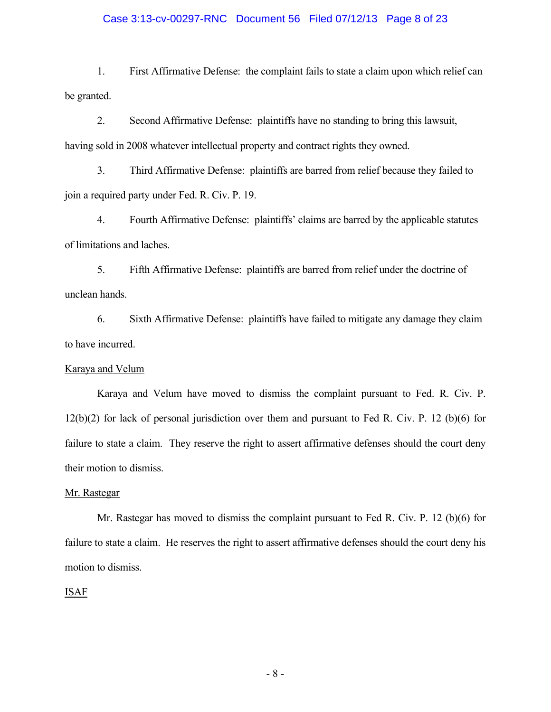#### Case 3:13-cv-00297-RNC Document 56 Filed 07/12/13 Page 8 of 23

1. First Affirmative Defense: the complaint fails to state a claim upon which relief can be granted.

2. Second Affirmative Defense: plaintiffs have no standing to bring this lawsuit, having sold in 2008 whatever intellectual property and contract rights they owned.

3. Third Affirmative Defense: plaintiffs are barred from relief because they failed to join a required party under Fed. R. Civ. P. 19.

4. Fourth Affirmative Defense: plaintiffs' claims are barred by the applicable statutes of limitations and laches.

5. Fifth Affirmative Defense: plaintiffs are barred from relief under the doctrine of unclean hands.

6. Sixth Affirmative Defense: plaintiffs have failed to mitigate any damage they claim to have incurred.

### Karaya and Velum

Karaya and Velum have moved to dismiss the complaint pursuant to Fed. R. Civ. P. 12(b)(2) for lack of personal jurisdiction over them and pursuant to Fed R. Civ. P. 12 (b)(6) for failure to state a claim. They reserve the right to assert affirmative defenses should the court deny their motion to dismiss.

#### Mr. Rastegar

Mr. Rastegar has moved to dismiss the complaint pursuant to Fed R. Civ. P. 12 (b)(6) for failure to state a claim. He reserves the right to assert affirmative defenses should the court deny his motion to dismiss.

#### ISAF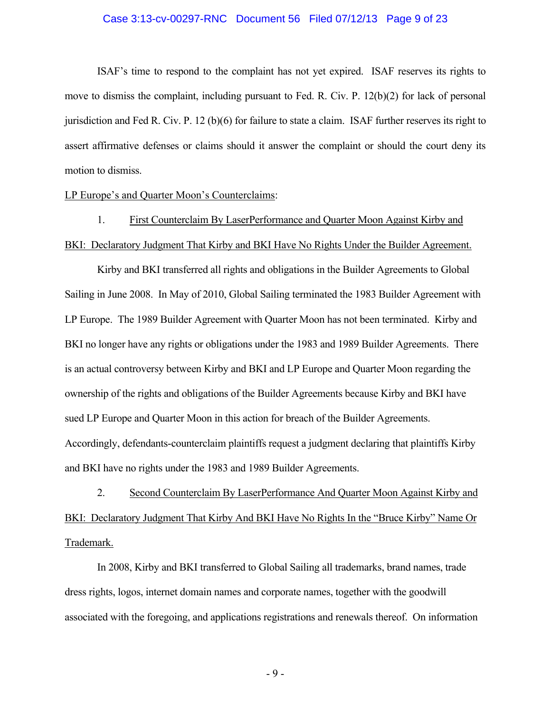#### Case 3:13-cv-00297-RNC Document 56 Filed 07/12/13 Page 9 of 23

ISAF's time to respond to the complaint has not yet expired. ISAF reserves its rights to move to dismiss the complaint, including pursuant to Fed. R. Civ. P. 12(b)(2) for lack of personal jurisdiction and Fed R. Civ. P. 12 (b)(6) for failure to state a claim. ISAF further reserves its right to assert affirmative defenses or claims should it answer the complaint or should the court deny its motion to dismiss.

LP Europe's and Quarter Moon's Counterclaims:

1. First Counterclaim By LaserPerformance and Quarter Moon Against Kirby and BKI: Declaratory Judgment That Kirby and BKI Have No Rights Under the Builder Agreement.

Kirby and BKI transferred all rights and obligations in the Builder Agreements to Global Sailing in June 2008. In May of 2010, Global Sailing terminated the 1983 Builder Agreement with LP Europe. The 1989 Builder Agreement with Quarter Moon has not been terminated. Kirby and BKI no longer have any rights or obligations under the 1983 and 1989 Builder Agreements. There is an actual controversy between Kirby and BKI and LP Europe and Quarter Moon regarding the ownership of the rights and obligations of the Builder Agreements because Kirby and BKI have sued LP Europe and Quarter Moon in this action for breach of the Builder Agreements. Accordingly, defendants-counterclaim plaintiffs request a judgment declaring that plaintiffs Kirby and BKI have no rights under the 1983 and 1989 Builder Agreements.

2. Second Counterclaim By LaserPerformance And Quarter Moon Against Kirby and BKI: Declaratory Judgment That Kirby And BKI Have No Rights In the "Bruce Kirby" Name Or Trademark.

In 2008, Kirby and BKI transferred to Global Sailing all trademarks, brand names, trade dress rights, logos, internet domain names and corporate names, together with the goodwill associated with the foregoing, and applications registrations and renewals thereof. On information

- 9 -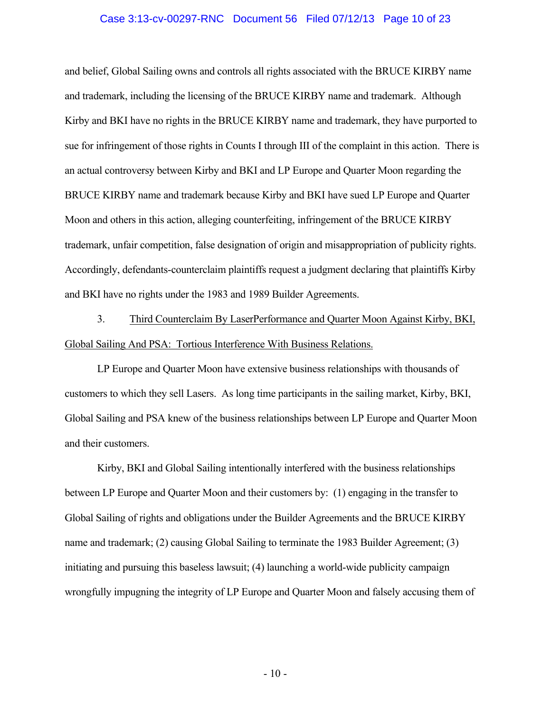#### Case 3:13-cv-00297-RNC Document 56 Filed 07/12/13 Page 10 of 23

and belief, Global Sailing owns and controls all rights associated with the BRUCE KIRBY name and trademark, including the licensing of the BRUCE KIRBY name and trademark. Although Kirby and BKI have no rights in the BRUCE KIRBY name and trademark, they have purported to sue for infringement of those rights in Counts I through III of the complaint in this action. There is an actual controversy between Kirby and BKI and LP Europe and Quarter Moon regarding the BRUCE KIRBY name and trademark because Kirby and BKI have sued LP Europe and Quarter Moon and others in this action, alleging counterfeiting, infringement of the BRUCE KIRBY trademark, unfair competition, false designation of origin and misappropriation of publicity rights. Accordingly, defendants-counterclaim plaintiffs request a judgment declaring that plaintiffs Kirby and BKI have no rights under the 1983 and 1989 Builder Agreements.

3. Third Counterclaim By LaserPerformance and Quarter Moon Against Kirby, BKI, Global Sailing And PSA: Tortious Interference With Business Relations.

LP Europe and Quarter Moon have extensive business relationships with thousands of customers to which they sell Lasers. As long time participants in the sailing market, Kirby, BKI, Global Sailing and PSA knew of the business relationships between LP Europe and Quarter Moon and their customers.

Kirby, BKI and Global Sailing intentionally interfered with the business relationships between LP Europe and Quarter Moon and their customers by: (1) engaging in the transfer to Global Sailing of rights and obligations under the Builder Agreements and the BRUCE KIRBY name and trademark; (2) causing Global Sailing to terminate the 1983 Builder Agreement; (3) initiating and pursuing this baseless lawsuit; (4) launching a world-wide publicity campaign wrongfully impugning the integrity of LP Europe and Quarter Moon and falsely accusing them of

 $-10-$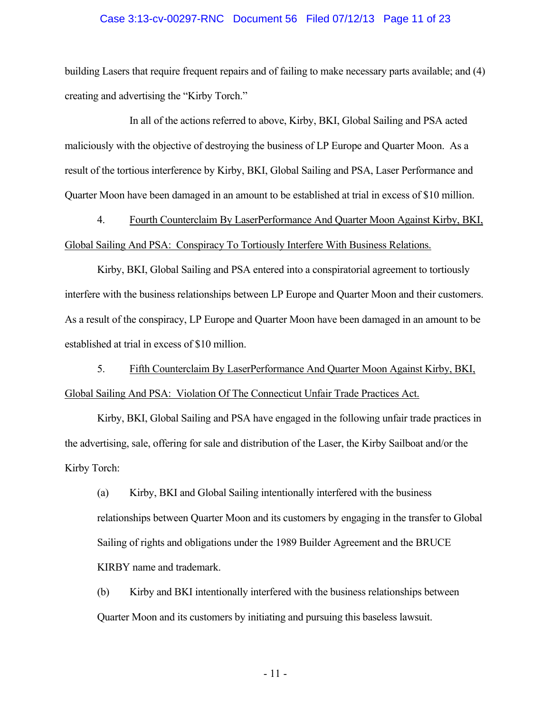#### Case 3:13-cv-00297-RNC Document 56 Filed 07/12/13 Page 11 of 23

building Lasers that require frequent repairs and of failing to make necessary parts available; and (4) creating and advertising the "Kirby Torch."

 In all of the actions referred to above, Kirby, BKI, Global Sailing and PSA acted maliciously with the objective of destroying the business of LP Europe and Quarter Moon. As a result of the tortious interference by Kirby, BKI, Global Sailing and PSA, Laser Performance and Quarter Moon have been damaged in an amount to be established at trial in excess of \$10 million.

4. Fourth Counterclaim By LaserPerformance And Quarter Moon Against Kirby, BKI, Global Sailing And PSA: Conspiracy To Tortiously Interfere With Business Relations.

Kirby, BKI, Global Sailing and PSA entered into a conspiratorial agreement to tortiously interfere with the business relationships between LP Europe and Quarter Moon and their customers. As a result of the conspiracy, LP Europe and Quarter Moon have been damaged in an amount to be established at trial in excess of \$10 million.

5. Fifth Counterclaim By LaserPerformance And Quarter Moon Against Kirby, BKI, Global Sailing And PSA: Violation Of The Connecticut Unfair Trade Practices Act.

Kirby, BKI, Global Sailing and PSA have engaged in the following unfair trade practices in the advertising, sale, offering for sale and distribution of the Laser, the Kirby Sailboat and/or the Kirby Torch:

(a) Kirby, BKI and Global Sailing intentionally interfered with the business relationships between Quarter Moon and its customers by engaging in the transfer to Global Sailing of rights and obligations under the 1989 Builder Agreement and the BRUCE KIRBY name and trademark.

(b) Kirby and BKI intentionally interfered with the business relationships between Quarter Moon and its customers by initiating and pursuing this baseless lawsuit.

- 11 -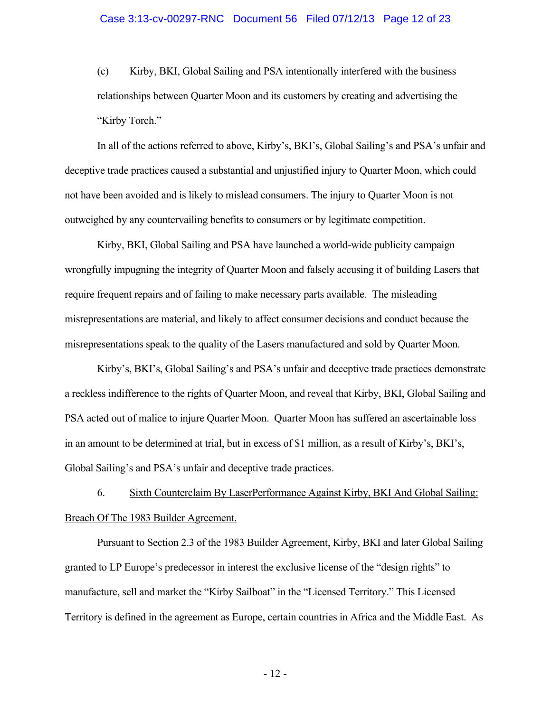(c) Kirby, BKI, Global Sailing and PSA intentionally interfered with the business relationships between Quarter Moon and its customers by creating and advertising the "Kirby Torch."

In all of the actions referred to above, Kirby's, BKI's, Global Sailing's and PSA's unfair and deceptive trade practices caused a substantial and unjustified injury to Quarter Moon, which could not have been avoided and is likely to mislead consumers. The injury to Quarter Moon is not outweighed by any countervailing benefits to consumers or by legitimate competition.

Kirby, BKI, Global Sailing and PSA have launched a world-wide publicity campaign wrongfully impugning the integrity of Quarter Moon and falsely accusing it of building Lasers that require frequent repairs and of failing to make necessary parts available. The misleading misrepresentations are material, and likely to affect consumer decisions and conduct because the misrepresentations speak to the quality of the Lasers manufactured and sold by Quarter Moon.

Kirby's, BKI's, Global Sailing's and PSA's unfair and deceptive trade practices demonstrate a reckless indifference to the rights of Quarter Moon, and reveal that Kirby, BKI, Global Sailing and PSA acted out of malice to injure Quarter Moon. Quarter Moon has suffered an ascertainable loss in an amount to be determined at trial, but in excess of \$1 million, as a result of Kirby's, BKI's, Global Sailing's and PSA's unfair and deceptive trade practices.

6. Sixth Counterclaim By LaserPerformance Against Kirby, BKI And Global Sailing: Breach Of The 1983 Builder Agreement.

Pursuant to Section 2.3 of the 1983 Builder Agreement, Kirby, BKI and later Global Sailing granted to LP Europe's predecessor in interest the exclusive license of the "design rights" to manufacture, sell and market the "Kirby Sailboat" in the "Licensed Territory." This Licensed Territory is defined in the agreement as Europe, certain countries in Africa and the Middle East. As

- 12 -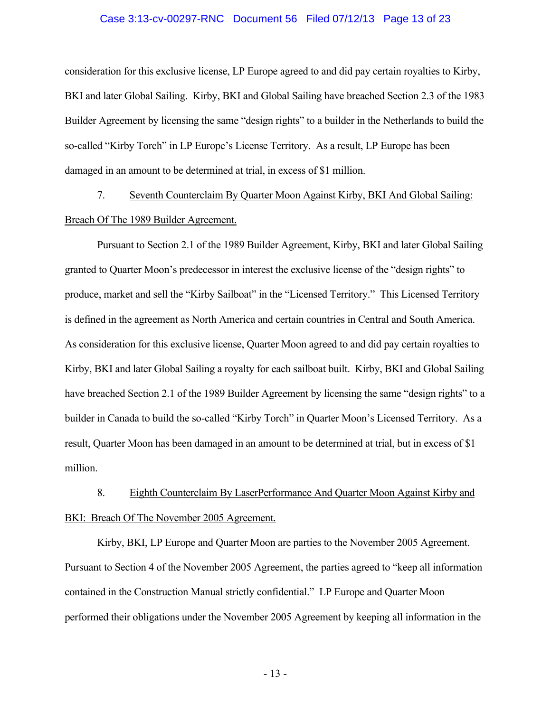#### Case 3:13-cv-00297-RNC Document 56 Filed 07/12/13 Page 13 of 23

consideration for this exclusive license, LP Europe agreed to and did pay certain royalties to Kirby, BKI and later Global Sailing. Kirby, BKI and Global Sailing have breached Section 2.3 of the 1983 Builder Agreement by licensing the same "design rights" to a builder in the Netherlands to build the so-called "Kirby Torch" in LP Europe's License Territory. As a result, LP Europe has been damaged in an amount to be determined at trial, in excess of \$1 million.

7. Seventh Counterclaim By Quarter Moon Against Kirby, BKI And Global Sailing: Breach Of The 1989 Builder Agreement.

Pursuant to Section 2.1 of the 1989 Builder Agreement, Kirby, BKI and later Global Sailing granted to Quarter Moon's predecessor in interest the exclusive license of the "design rights" to produce, market and sell the "Kirby Sailboat" in the "Licensed Territory." This Licensed Territory is defined in the agreement as North America and certain countries in Central and South America. As consideration for this exclusive license, Quarter Moon agreed to and did pay certain royalties to Kirby, BKI and later Global Sailing a royalty for each sailboat built. Kirby, BKI and Global Sailing have breached Section 2.1 of the 1989 Builder Agreement by licensing the same "design rights" to a builder in Canada to build the so-called "Kirby Torch" in Quarter Moon's Licensed Territory. As a result, Quarter Moon has been damaged in an amount to be determined at trial, but in excess of \$1 million.

8. Eighth Counterclaim By LaserPerformance And Quarter Moon Against Kirby and BKI: Breach Of The November 2005 Agreement.

Kirby, BKI, LP Europe and Quarter Moon are parties to the November 2005 Agreement. Pursuant to Section 4 of the November 2005 Agreement, the parties agreed to "keep all information contained in the Construction Manual strictly confidential." LP Europe and Quarter Moon performed their obligations under the November 2005 Agreement by keeping all information in the

- 13 -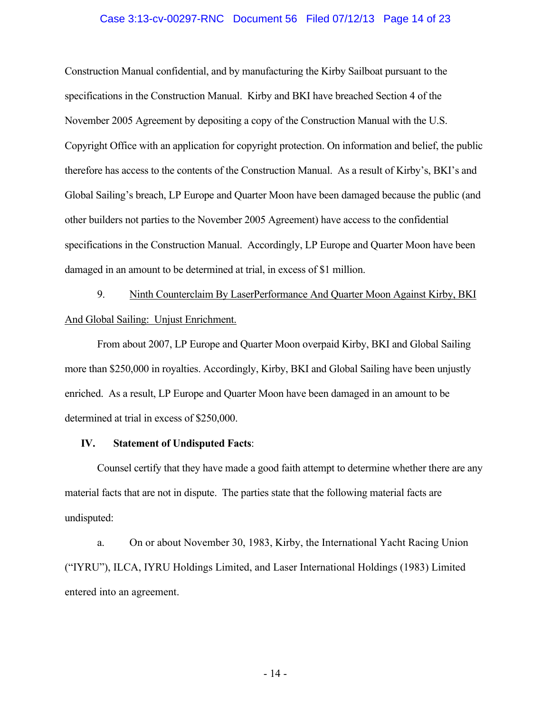#### Case 3:13-cv-00297-RNC Document 56 Filed 07/12/13 Page 14 of 23

Construction Manual confidential, and by manufacturing the Kirby Sailboat pursuant to the specifications in the Construction Manual. Kirby and BKI have breached Section 4 of the November 2005 Agreement by depositing a copy of the Construction Manual with the U.S. Copyright Office with an application for copyright protection. On information and belief, the public therefore has access to the contents of the Construction Manual. As a result of Kirby's, BKI's and Global Sailing's breach, LP Europe and Quarter Moon have been damaged because the public (and other builders not parties to the November 2005 Agreement) have access to the confidential specifications in the Construction Manual. Accordingly, LP Europe and Quarter Moon have been damaged in an amount to be determined at trial, in excess of \$1 million.

9. Ninth Counterclaim By LaserPerformance And Quarter Moon Against Kirby, BKI And Global Sailing: Unjust Enrichment.

From about 2007, LP Europe and Quarter Moon overpaid Kirby, BKI and Global Sailing more than \$250,000 in royalties. Accordingly, Kirby, BKI and Global Sailing have been unjustly enriched. As a result, LP Europe and Quarter Moon have been damaged in an amount to be determined at trial in excess of \$250,000.

## **IV. Statement of Undisputed Facts**:

Counsel certify that they have made a good faith attempt to determine whether there are any material facts that are not in dispute. The parties state that the following material facts are undisputed:

a. On or about November 30, 1983, Kirby, the International Yacht Racing Union ("IYRU"), ILCA, IYRU Holdings Limited, and Laser International Holdings (1983) Limited entered into an agreement.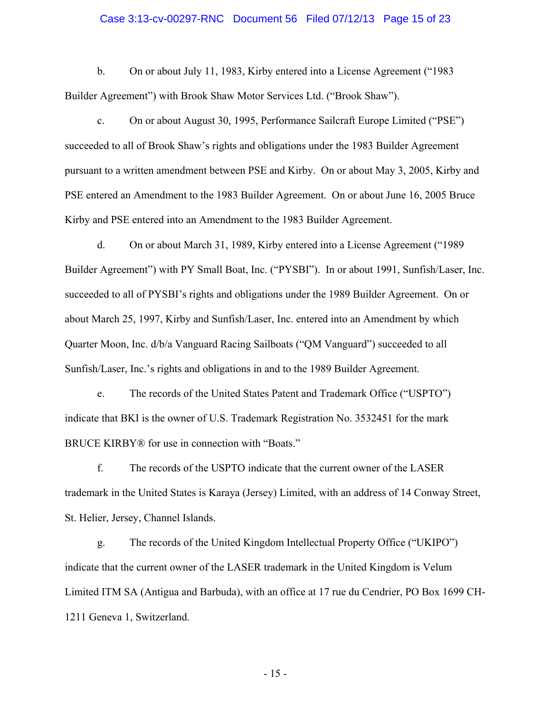#### Case 3:13-cv-00297-RNC Document 56 Filed 07/12/13 Page 15 of 23

b. On or about July 11, 1983, Kirby entered into a License Agreement ("1983 Builder Agreement") with Brook Shaw Motor Services Ltd. ("Brook Shaw").

c. On or about August 30, 1995, Performance Sailcraft Europe Limited ("PSE") succeeded to all of Brook Shaw's rights and obligations under the 1983 Builder Agreement pursuant to a written amendment between PSE and Kirby. On or about May 3, 2005, Kirby and PSE entered an Amendment to the 1983 Builder Agreement. On or about June 16, 2005 Bruce Kirby and PSE entered into an Amendment to the 1983 Builder Agreement.

d. On or about March 31, 1989, Kirby entered into a License Agreement ("1989 Builder Agreement") with PY Small Boat, Inc. ("PYSBI"). In or about 1991, Sunfish/Laser, Inc. succeeded to all of PYSBI's rights and obligations under the 1989 Builder Agreement. On or about March 25, 1997, Kirby and Sunfish/Laser, Inc. entered into an Amendment by which Quarter Moon, Inc. d/b/a Vanguard Racing Sailboats ("QM Vanguard") succeeded to all Sunfish/Laser, Inc.'s rights and obligations in and to the 1989 Builder Agreement.

e. The records of the United States Patent and Trademark Office ("USPTO") indicate that BKI is the owner of U.S. Trademark Registration No. 3532451 for the mark BRUCE KIRBY<sup>®</sup> for use in connection with "Boats."

f. The records of the USPTO indicate that the current owner of the LASER trademark in the United States is Karaya (Jersey) Limited, with an address of 14 Conway Street, St. Helier, Jersey, Channel Islands.

g. The records of the United Kingdom Intellectual Property Office ("UKIPO") indicate that the current owner of the LASER trademark in the United Kingdom is Velum Limited ITM SA (Antigua and Barbuda), with an office at 17 rue du Cendrier, PO Box 1699 CH-1211 Geneva 1, Switzerland.

- 15 -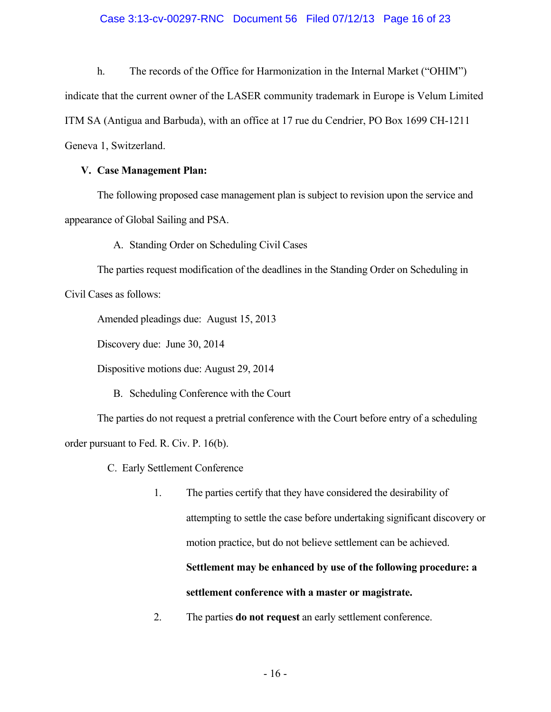## Case 3:13-cv-00297-RNC Document 56 Filed 07/12/13 Page 16 of 23

h. The records of the Office for Harmonization in the Internal Market ("OHIM") indicate that the current owner of the LASER community trademark in Europe is Velum Limited ITM SA (Antigua and Barbuda), with an office at 17 rue du Cendrier, PO Box 1699 CH-1211 Geneva 1, Switzerland.

## **V. Case Management Plan:**

The following proposed case management plan is subject to revision upon the service and appearance of Global Sailing and PSA.

A. Standing Order on Scheduling Civil Cases

The parties request modification of the deadlines in the Standing Order on Scheduling in Civil Cases as follows:

Amended pleadings due: August 15, 2013

Discovery due: June 30, 2014

Dispositive motions due: August 29, 2014

B. Scheduling Conference with the Court

The parties do not request a pretrial conference with the Court before entry of a scheduling order pursuant to Fed. R. Civ. P. 16(b).

C. Early Settlement Conference

1. The parties certify that they have considered the desirability of attempting to settle the case before undertaking significant discovery or motion practice, but do not believe settlement can be achieved.

# **Settlement may be enhanced by use of the following procedure: a settlement conference with a master or magistrate.**

2. The parties **do not request** an early settlement conference.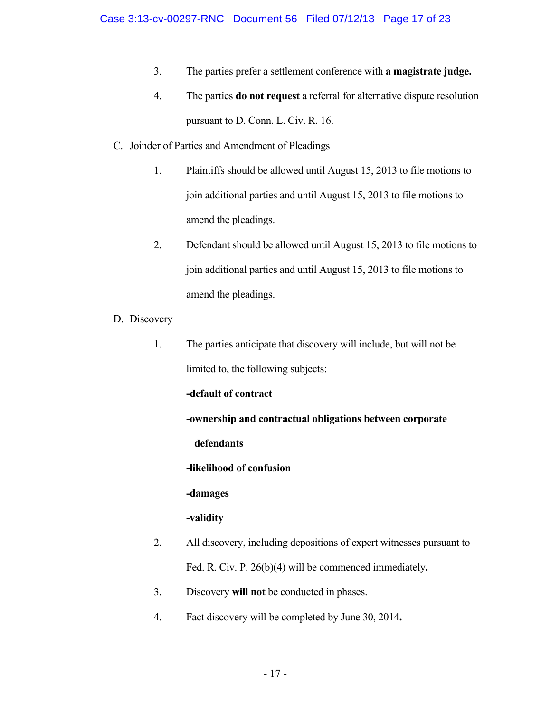- 3. The parties prefer a settlement conference with **a magistrate judge.**
- 4. The parties **do not request** a referral for alternative dispute resolution pursuant to D. Conn. L. Civ. R. 16.
- C. Joinder of Parties and Amendment of Pleadings
	- 1. Plaintiffs should be allowed until August 15, 2013 to file motions to join additional parties and until August 15, 2013 to file motions to amend the pleadings.
	- 2. Defendant should be allowed until August 15, 2013 to file motions to join additional parties and until August 15, 2013 to file motions to amend the pleadings.
- D. Discovery
	- 1. The parties anticipate that discovery will include, but will not be limited to, the following subjects:

# **-default of contract**

**-ownership and contractual obligations between corporate** 

## **defendants**

**-likelihood of confusion** 

**-damages** 

# **-validity**

- 2. All discovery, including depositions of expert witnesses pursuant to Fed. R. Civ. P. 26(b)(4) will be commenced immediately**.**
- 3. Discovery **will not** be conducted in phases.
- 4. Fact discovery will be completed by June 30, 2014**.**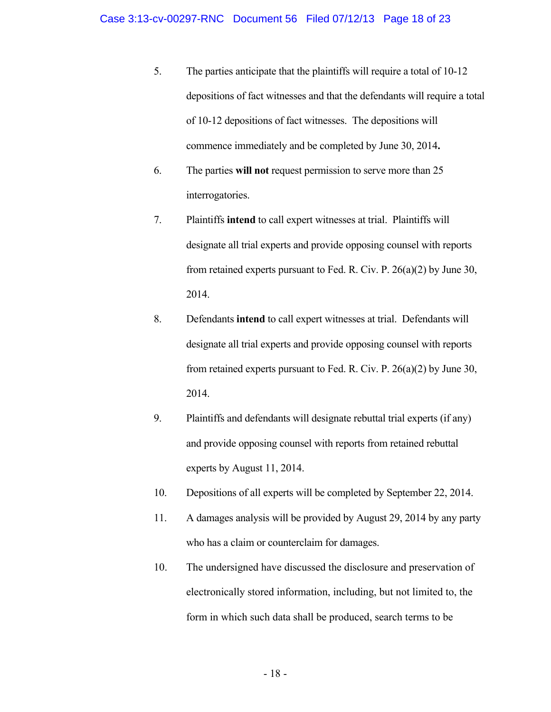- 5. The parties anticipate that the plaintiffs will require a total of 10-12 depositions of fact witnesses and that the defendants will require a total of 10-12 depositions of fact witnesses. The depositions will commence immediately and be completed by June 30, 2014**.**
- 6. The parties **will not** request permission to serve more than 25 interrogatories.
- 7. Plaintiffs **intend** to call expert witnesses at trial. Plaintiffs will designate all trial experts and provide opposing counsel with reports from retained experts pursuant to Fed. R. Civ. P. 26(a)(2) by June 30, 2014.
- 8. Defendants **intend** to call expert witnesses at trial. Defendants will designate all trial experts and provide opposing counsel with reports from retained experts pursuant to Fed. R. Civ. P. 26(a)(2) by June 30, 2014.
- 9. Plaintiffs and defendants will designate rebuttal trial experts (if any) and provide opposing counsel with reports from retained rebuttal experts by August 11, 2014.
- 10. Depositions of all experts will be completed by September 22, 2014.
- 11. A damages analysis will be provided by August 29, 2014 by any party who has a claim or counterclaim for damages.
- 10. The undersigned have discussed the disclosure and preservation of electronically stored information, including, but not limited to, the form in which such data shall be produced, search terms to be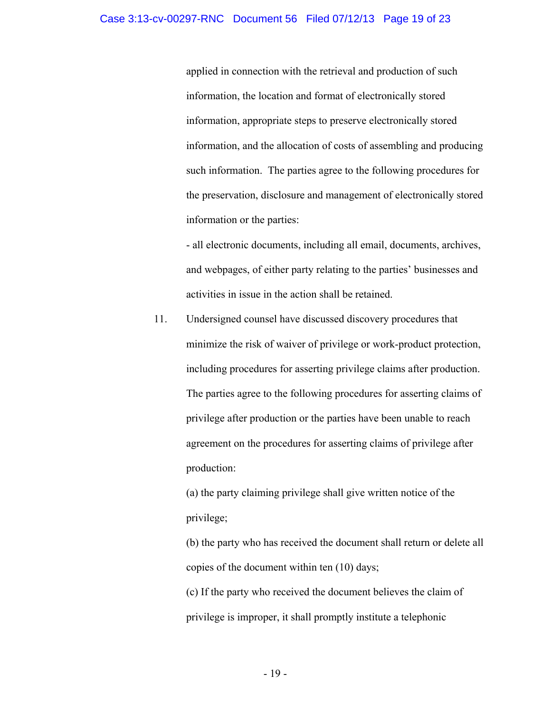applied in connection with the retrieval and production of such information, the location and format of electronically stored information, appropriate steps to preserve electronically stored information, and the allocation of costs of assembling and producing such information. The parties agree to the following procedures for the preservation, disclosure and management of electronically stored information or the parties:

- all electronic documents, including all email, documents, archives, and webpages, of either party relating to the parties' businesses and activities in issue in the action shall be retained.

 11. Undersigned counsel have discussed discovery procedures that minimize the risk of waiver of privilege or work-product protection, including procedures for asserting privilege claims after production. The parties agree to the following procedures for asserting claims of privilege after production or the parties have been unable to reach agreement on the procedures for asserting claims of privilege after production:

(a) the party claiming privilege shall give written notice of the privilege;

(b) the party who has received the document shall return or delete all copies of the document within ten (10) days;

(c) If the party who received the document believes the claim of privilege is improper, it shall promptly institute a telephonic

- 19 -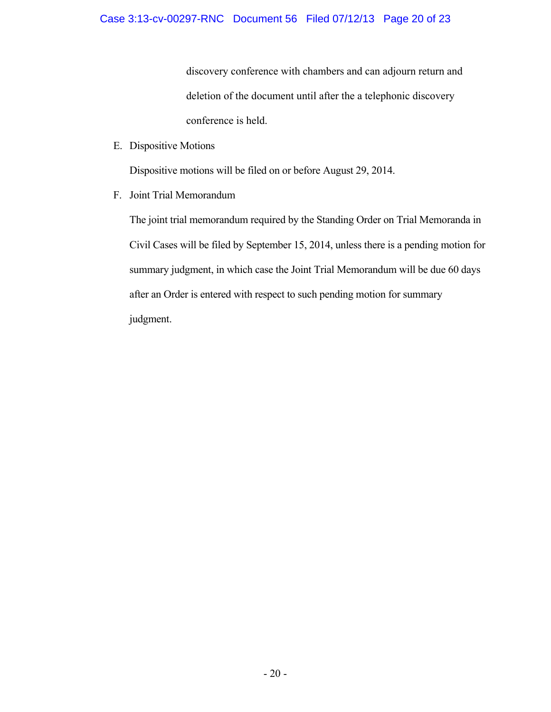discovery conference with chambers and can adjourn return and deletion of the document until after the a telephonic discovery conference is held.

E. Dispositive Motions

Dispositive motions will be filed on or before August 29, 2014.

F. Joint Trial Memorandum

The joint trial memorandum required by the Standing Order on Trial Memoranda in Civil Cases will be filed by September 15, 2014, unless there is a pending motion for summary judgment, in which case the Joint Trial Memorandum will be due 60 days after an Order is entered with respect to such pending motion for summary judgment.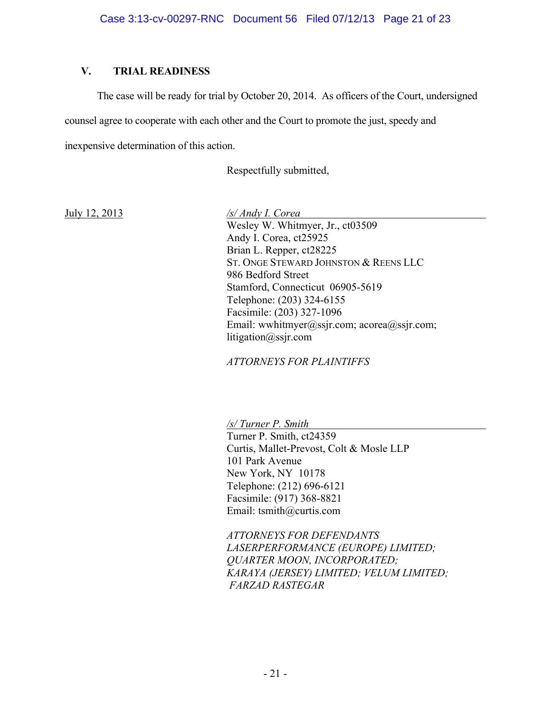# **V. TRIAL READINESS**

The case will be ready for trial by October 20, 2014. As officers of the Court, undersigned

counsel agree to cooperate with each other and the Court to promote the just, speedy and

inexpensive determination of this action.

Respectfully submitted,

July 12, 2013 */s/ Andy I. Corea*  Wesley W. Whitmyer, Jr., ct03509 Andy I. Corea, ct25925 Brian L. Repper, ct28225 ST. ONGE STEWARD JOHNSTON & REENS LLC 986 Bedford Street Stamford, Connecticut 06905-5619 Telephone: (203) 324-6155 Facsimile: (203) 327-1096 Email: wwhitmyer@ssjr.com; acorea@ssjr.com; litigation@ssjr.com

*ATTORNEYS FOR PLAINTIFFS* 

*/s/ Turner P. Smith*  Turner P. Smith, ct24359 Curtis, Mallet-Prevost, Colt & Mosle LLP 101 Park Avenue New York, NY 10178 Telephone: (212) 696-6121 Facsimile: (917) 368-8821 Email: tsmith@curtis.com

*ATTORNEYS FOR DEFENDANTS LASERPERFORMANCE (EUROPE) LIMITED; QUARTER MOON, INCORPORATED; KARAYA (JERSEY) LIMITED; VELUM LIMITED; FARZAD RASTEGAR*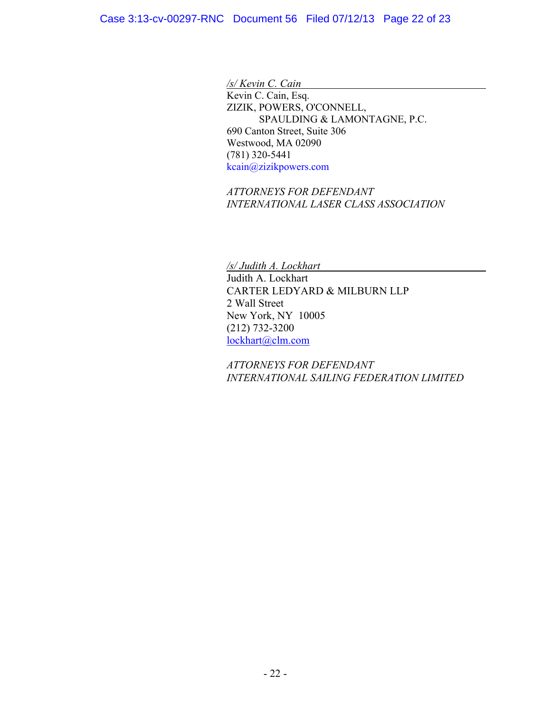*/s/ Kevin C. Cain* 

Kevin C. Cain, Esq. ZIZIK, POWERS, O'CONNELL, SPAULDING & LAMONTAGNE, P.C. 690 Canton Street, Suite 306 Westwood, MA 02090 (781) 320-5441 kcain@zizikpowers.com

*ATTORNEYS FOR DEFENDANT INTERNATIONAL LASER CLASS ASSOCIATION*

*/s/ Judith A. Lockhart* 

 Judith A. Lockhart CARTER LEDYARD & MILBURN LLP 2 Wall Street New York, NY 10005 (212) 732-3200 lockhart@clm.com

 *ATTORNEYS FOR DEFENDANT INTERNATIONAL SAILING FEDERATION LIMITED*